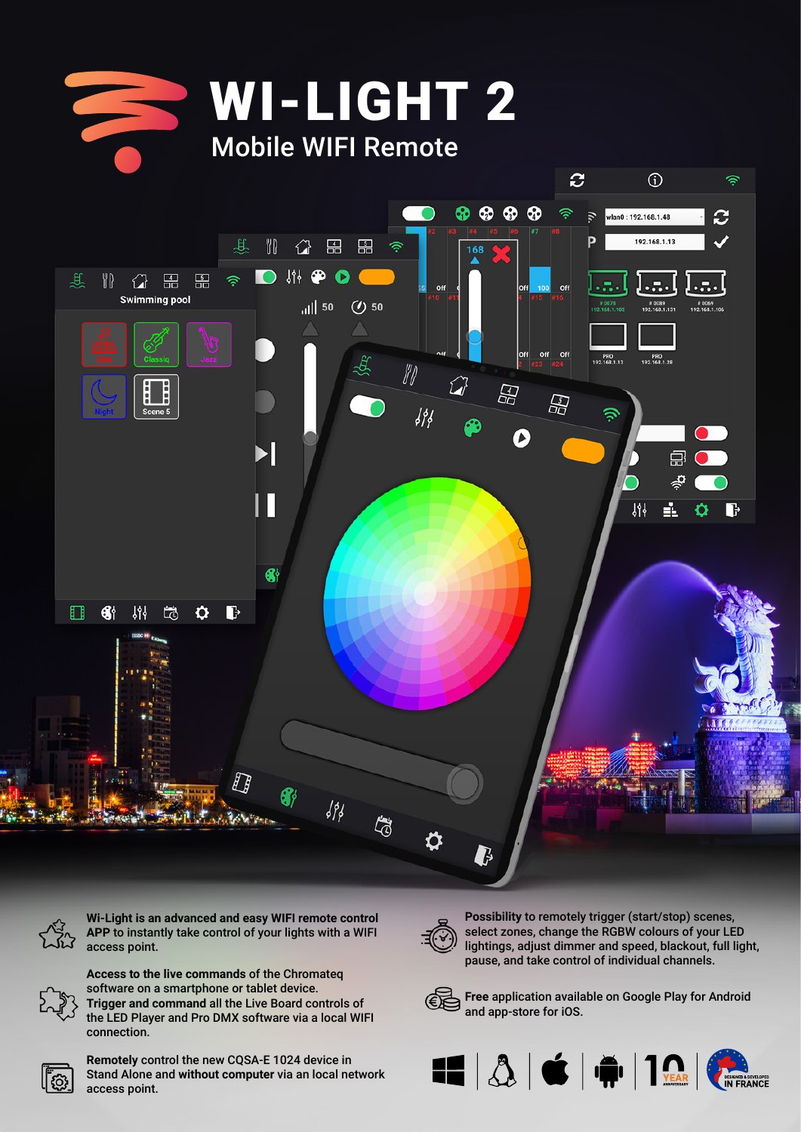



**Wi-Light is an advanced and easy WIFI remote control APP** to instantly take control of your lights with a WIFI access point.



**Access to the live commands** of the Chromateq software on a smartphone or tablet device. **Trigger and command** all the Live Board controls of the LED Player and Pro DMX software via a local WIFI connection.



**Remotely** control the new CQSA-E 1024 device in Stand Alone and **without computer** via an local network access point.



**Possibility** to remotely trigger (start/stop) scenes, select zones, change the RGBW colours of your LED lightings, adjust dimmer and speed, blackout, full light, pause, and take control of individual channels.



**Free** application available on Google Play for Android and app-store for iOS.